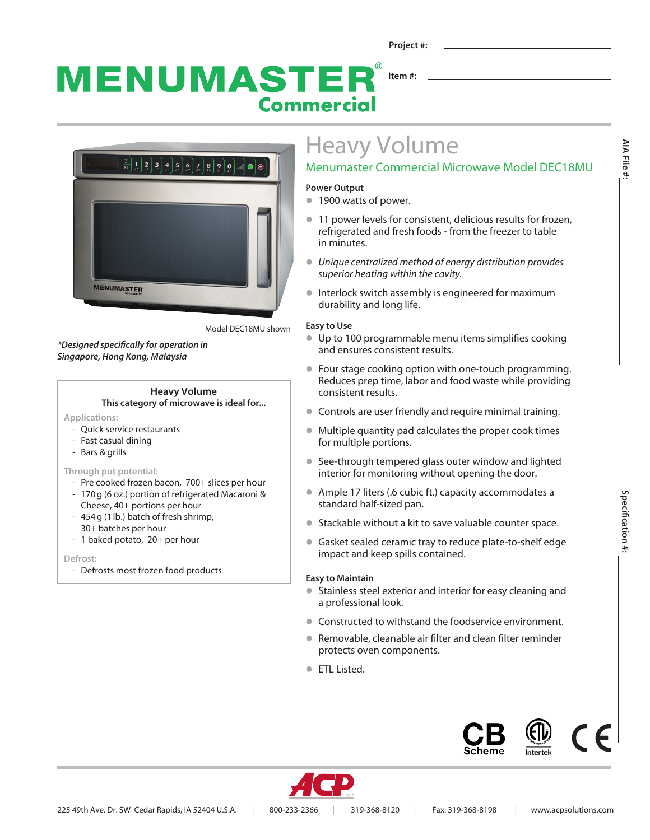MENUMASTEI **Item #: Commercial** 



Model DEC18MU shown

*\*Designed specifically for operation in Singapore, Hong Kong, Malaysia*

## **Heavy Volume**

**This category of microwave is ideal for...**

**Applications:** 

- Quick service restaurants
- Fast casual dining
- Bars & grills

#### **Through put potential:**

- Pre cooked frozen bacon, 700+ slices per hour - 170g (6 oz.) portion of refrigerated Macaroni &
- Cheese, 40+ portions per hour - 454g (1lb.) batch of fresh shrimp,
- 30+ batches per hour
- 1 baked potato, 20+ per hour

**Defrost:**

- Defrosts most frozen food products

# Heavy Volume

## Menumaster Commercial Microwave Model DEC18MU

#### **Power Output**

- **1900 watts of power.**
- **11 power levels for consistent, delicious results for frozen,** refrigerated and fresh foods - from the freezer to table in minutes.
- **·** Unique centralized method of energy distribution provides *superior heating within the cavity.*
- **•** Interlock switch assembly is engineered for maximum durability and long life.

#### **Easy to Use**

- Up to 100 programmable menu items simplifies cooking and ensures consistent results.
- Four stage cooking option with one-touch programming. Reduces prep time, labor and food waste while providing consistent results.
- **Controls are user friendly and require minimal training.**
- $\bullet$  Multiple quantity pad calculates the proper cook times for multiple portions.
- See-through tempered glass outer window and lighted interior for monitoring without opening the door.
- Ample 17 liters (.6 cubic ft.) capacity accommodates a standard half-sized pan.
- Stackable without a kit to save valuable counter space.
- **Gasket sealed ceramic tray to reduce plate-to-shelf edge** impact and keep spills contained.

#### **Easy to Maintain**

- Stainless steel exterior and interior for easy cleaning and a professional look.
- Constructed to withstand the foodservice environment.
- Removable, cleanable air filter and clean filter reminder protects oven components.
- **ETL Listed.**





**AIA File #:**

AIA File #: